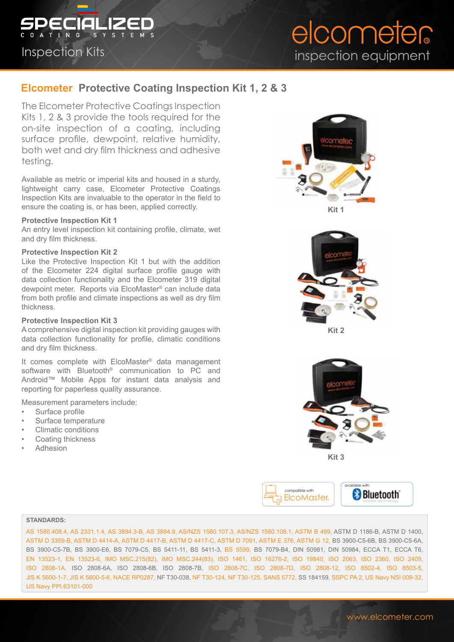

## Inspection Kits

# elcometer inspection equipment

# **Elcometer Protective Coating Inspection Kit 1, 2 & 3**

The Elcometer Protective Coatings Inspection Kits 1, 2 & 3 provide the tools required for the on-site inspection of a coating, including surface profile, dewpoint, relative humidity, both wet and dry film thickness and adhesive testing.

Available as metric or imperial kits and housed in a sturdy, lightweight carry case, Elcometer Protective Coatings Inspection Kits are invaluable to the operator in the field to ensure the coating is, or has been, applied correctly.

#### **Protective Inspection Kit 1**

An entry level inspection kit containing profile, climate, wet and dry film thickness.

#### **Protective Inspection Kit 2**

Like the Protective Inspection Kit 1 but with the addition of the Elcometer 224 digital surface profile gauge with data collection functionality and the Elcometer 319 digital dewpoint meter. Reports via ElcoMaster® can include data from both profile and climate inspections as well as dry film thickness.

#### **Protective Inspection Kit 3**

A comprehensive digital inspection kit providing gauges with data collection functionality for profile, climatic conditions and dry film thickness.

It comes complete with ElcoMaster® data management software with Bluetooth® communication to PC and Android™ Mobile Apps for instant data analysis and reporting for paperless quality assurance.

Measurement parameters include:

- Surface profile
- Surface temperature
- Climatic conditions
- Coating thickness
- Adhesion





compatible with ElcoMaster**®** available with wireless technology

#### **STANDARDS:**

AS 1580.408.4, AS 2331.1.4, AS 3894.3-B, AS 3894.9, AS/NZS 1580.107.3, AS/NZS 1580.108.1, ASTM B 499, ASTM D 1186-B, ASTM D 1400, ASTM D 3359-B, ASTM D 4414-A, ASTM D 4417-B, ASTM D 4417-C, ASTM D 7091, ASTM E 376, ASTM G 12, BS 3900-C5-6B, BS 3900-C5-6A, BS 3900-C5-7B, BS 3900-E6, BS 7079-C5, BS 5411-11, BS 5411-3, BS 5599, BS 7079-B4, DIN 50981, DIN 50984, ECCA T1, ECCA T6, EN 13523-1, EN 13523-6, IMO MSC.215(82), IMO MSC.244(83), ISO 1461, ISO 16276-2, ISO 19840, ISO 2063, ISO 2360, ISO 2409, ISO 2808-1A, ISO 2808-6A, ISO 2808-6B, ISO 2808-7B, ISO 2808-7C, ISO 2808-7D, ISO 2808-12, ISO 8502-4, ISO 8503-5, JIS K 5600-1-7, JIS K 5600-5-6, NACE RP0287, NF T30-038, NF T30-124, NF T30-125, SANS 5772, SS 184159, SSPC PA 2, US Navy NSI 009-32, US Navy PPI 63101-000